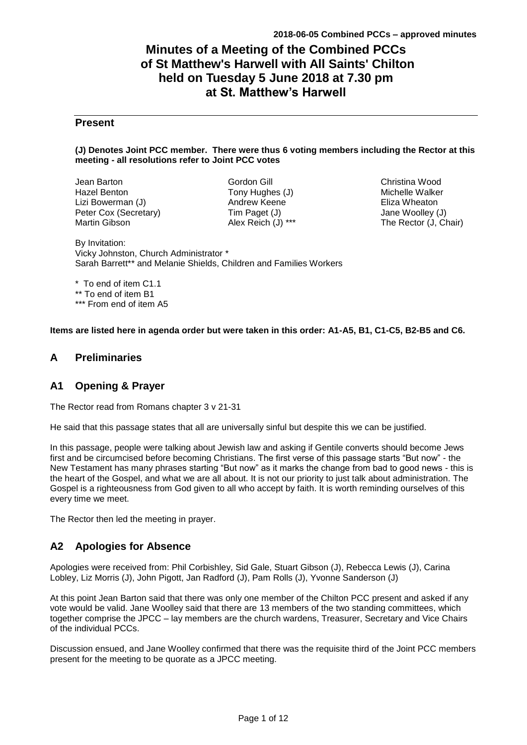# **Minutes of a Meeting of the Combined PCCs of St Matthew's Harwell with All Saints' Chilton held on Tuesday 5 June 2018 at 7.30 pm at St. Matthew's Harwell**

## **Present**

### **(J) Denotes Joint PCC member. There were thus 6 voting members including the Rector at this meeting - all resolutions refer to Joint PCC votes**

Jean Barton Hazel Benton Lizi Bowerman (J) Peter Cox (Secretary) Martin Gibson

Gordon Gill Tony Hughes (J) Andrew Keene Tim Paget (J) Alex Reich (J) \*\*\*

Christina Wood Michelle Walker Eliza Wheaton Jane Woolley (J) The Rector (J, Chair)

By Invitation: Vicky Johnston, Church Administrator \* Sarah Barrett\*\* and Melanie Shields, Children and Families Workers

\* To end of item C1.1 \*\* To end of item B1 \*\*\* From end of item A5

**Items are listed here in agenda order but were taken in this order: A1-A5, B1, C1-C5, B2-B5 and C6.**

## **A Preliminaries**

## **A1 Opening & Prayer**

The Rector read from Romans chapter 3 v 21-31

He said that this passage states that all are universally sinful but despite this we can be justified.

In this passage, people were talking about Jewish law and asking if Gentile converts should become Jews first and be circumcised before becoming Christians. The first verse of this passage starts "But now" - the New Testament has many phrases starting "But now" as it marks the change from bad to good news - this is the heart of the Gospel, and what we are all about. It is not our priority to just talk about administration. The Gospel is a righteousness from God given to all who accept by faith. It is worth reminding ourselves of this every time we meet.

The Rector then led the meeting in prayer.

## **A2 Apologies for Absence**

Apologies were received from: Phil Corbishley, Sid Gale, Stuart Gibson (J), Rebecca Lewis (J), Carina Lobley, Liz Morris (J), John Pigott, Jan Radford (J), Pam Rolls (J), Yvonne Sanderson (J)

At this point Jean Barton said that there was only one member of the Chilton PCC present and asked if any vote would be valid. Jane Woolley said that there are 13 members of the two standing committees, which together comprise the JPCC – lay members are the church wardens, Treasurer, Secretary and Vice Chairs of the individual PCCs.

Discussion ensued, and Jane Woolley confirmed that there was the requisite third of the Joint PCC members present for the meeting to be quorate as a JPCC meeting.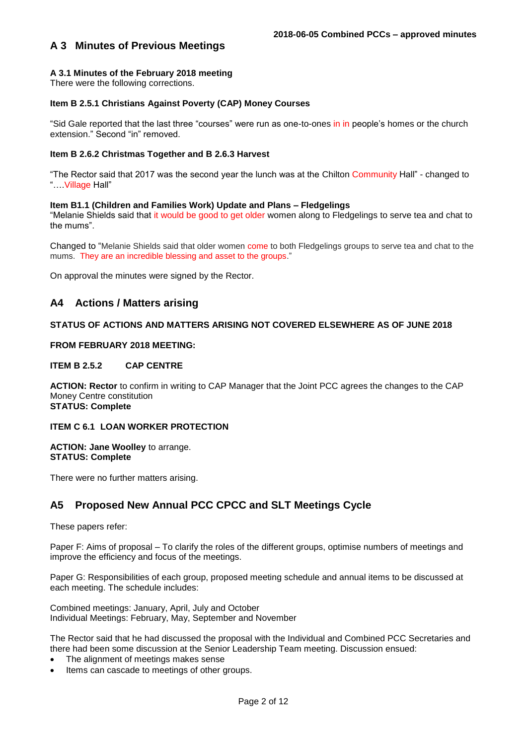## **A 3 Minutes of Previous Meetings**

### **A 3.1 Minutes of the February 2018 meeting**

There were the following corrections.

### **Item B 2.5.1 Christians Against Poverty (CAP) Money Courses**

"Sid Gale reported that the last three "courses" were run as one-to-ones in in people's homes or the church extension." Second "in" removed.

### **Item B 2.6.2 Christmas Together and B 2.6.3 Harvest**

"The Rector said that 2017 was the second year the lunch was at the Chilton Community Hall" - changed to "….Village Hall"

### **Item B1.1 (Children and Families Work) Update and Plans – Fledgelings**

"Melanie Shields said that it would be good to get older women along to Fledgelings to serve tea and chat to the mums".

Changed to "Melanie Shields said that older women come to both Fledgelings groups to serve tea and chat to the mums. They are an incredible blessing and asset to the groups."

On approval the minutes were signed by the Rector.

## **A4 Actions / Matters arising**

### **STATUS OF ACTIONS AND MATTERS ARISING NOT COVERED ELSEWHERE AS OF JUNE 2018**

### **FROM FEBRUARY 2018 MEETING:**

### **ITEM B 2.5.2 CAP CENTRE**

**ACTION: Rector** to confirm in writing to CAP Manager that the Joint PCC agrees the changes to the CAP Money Centre constitution **STATUS: Complete**

### **ITEM C 6.1 LOAN WORKER PROTECTION**

**ACTION: Jane Woolley** to arrange. **STATUS: Complete**

There were no further matters arising.

## **A5 Proposed New Annual PCC CPCC and SLT Meetings Cycle**

These papers refer:

Paper F: Aims of proposal – To clarify the roles of the different groups, optimise numbers of meetings and improve the efficiency and focus of the meetings.

Paper G: Responsibilities of each group, proposed meeting schedule and annual items to be discussed at each meeting. The schedule includes:

Combined meetings: January, April, July and October Individual Meetings: February, May, September and November

The Rector said that he had discussed the proposal with the Individual and Combined PCC Secretaries and there had been some discussion at the Senior Leadership Team meeting. Discussion ensued:

- The alignment of meetings makes sense
- Items can cascade to meetings of other groups.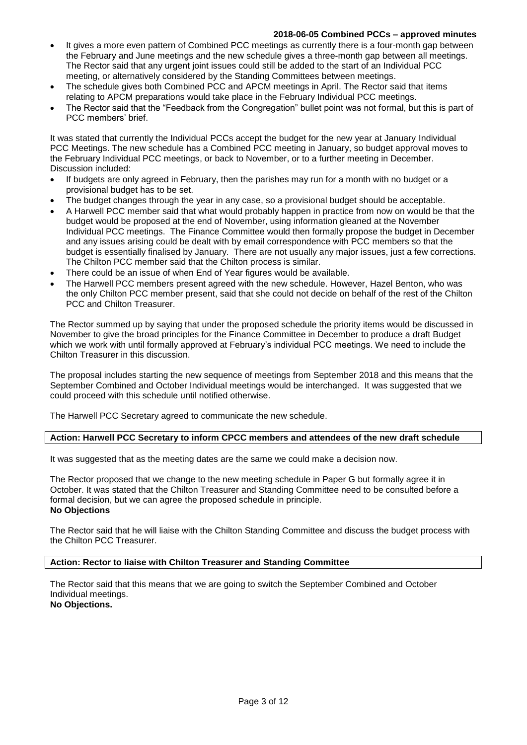- It gives a more even pattern of Combined PCC meetings as currently there is a four-month gap between the February and June meetings and the new schedule gives a three-month gap between all meetings. The Rector said that any urgent joint issues could still be added to the start of an Individual PCC meeting, or alternatively considered by the Standing Committees between meetings.
- The schedule gives both Combined PCC and APCM meetings in April. The Rector said that items relating to APCM preparations would take place in the February Individual PCC meetings.
- The Rector said that the "Feedback from the Congregation" bullet point was not formal, but this is part of PCC members' brief.

It was stated that currently the Individual PCCs accept the budget for the new year at January Individual PCC Meetings. The new schedule has a Combined PCC meeting in January, so budget approval moves to the February Individual PCC meetings, or back to November, or to a further meeting in December. Discussion included:

- If budgets are only agreed in February, then the parishes may run for a month with no budget or a provisional budget has to be set.
- The budget changes through the year in any case, so a provisional budget should be acceptable.
- A Harwell PCC member said that what would probably happen in practice from now on would be that the budget would be proposed at the end of November, using information gleaned at the November Individual PCC meetings. The Finance Committee would then formally propose the budget in December and any issues arising could be dealt with by email correspondence with PCC members so that the budget is essentially finalised by January. There are not usually any major issues, just a few corrections. The Chilton PCC member said that the Chilton process is similar.
- There could be an issue of when End of Year figures would be available.
- The Harwell PCC members present agreed with the new schedule. However, Hazel Benton, who was the only Chilton PCC member present, said that she could not decide on behalf of the rest of the Chilton PCC and Chilton Treasurer.

The Rector summed up by saying that under the proposed schedule the priority items would be discussed in November to give the broad principles for the Finance Committee in December to produce a draft Budget which we work with until formally approved at February's individual PCC meetings. We need to include the Chilton Treasurer in this discussion.

The proposal includes starting the new sequence of meetings from September 2018 and this means that the September Combined and October Individual meetings would be interchanged. It was suggested that we could proceed with this schedule until notified otherwise.

The Harwell PCC Secretary agreed to communicate the new schedule.

### **Action: Harwell PCC Secretary to inform CPCC members and attendees of the new draft schedule**

It was suggested that as the meeting dates are the same we could make a decision now.

The Rector proposed that we change to the new meeting schedule in Paper G but formally agree it in October. It was stated that the Chilton Treasurer and Standing Committee need to be consulted before a formal decision, but we can agree the proposed schedule in principle. **No Objections**

The Rector said that he will liaise with the Chilton Standing Committee and discuss the budget process with the Chilton PCC Treasurer.

### **Action: Rector to liaise with Chilton Treasurer and Standing Committee**

The Rector said that this means that we are going to switch the September Combined and October Individual meetings. **No Objections.**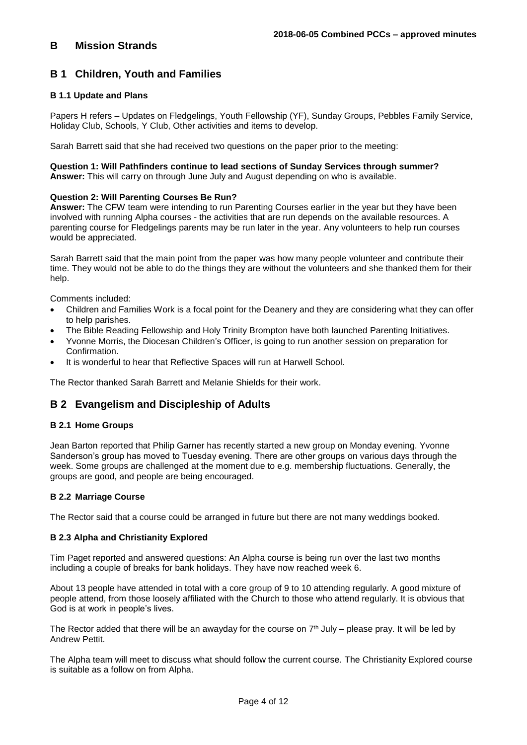## **B 1 Children, Youth and Families**

### **B 1.1 Update and Plans**

Papers H refers – Updates on Fledgelings, Youth Fellowship (YF), Sunday Groups, Pebbles Family Service, Holiday Club, Schools, Y Club, Other activities and items to develop.

Sarah Barrett said that she had received two questions on the paper prior to the meeting:

**Question 1: Will Pathfinders continue to lead sections of Sunday Services through summer? Answer:** This will carry on through June July and August depending on who is available.

### **Question 2: Will Parenting Courses Be Run?**

**Answer:** The CFW team were intending to run Parenting Courses earlier in the year but they have been involved with running Alpha courses - the activities that are run depends on the available resources. A parenting course for Fledgelings parents may be run later in the year. Any volunteers to help run courses would be appreciated.

Sarah Barrett said that the main point from the paper was how many people volunteer and contribute their time. They would not be able to do the things they are without the volunteers and she thanked them for their help.

Comments included:

- Children and Families Work is a focal point for the Deanery and they are considering what they can offer to help parishes.
- The Bible Reading Fellowship and Holy Trinity Brompton have both launched Parenting Initiatives.
- Yvonne Morris, the Diocesan Children's Officer, is going to run another session on preparation for Confirmation.
- It is wonderful to hear that Reflective Spaces will run at Harwell School.

The Rector thanked Sarah Barrett and Melanie Shields for their work.

## **B 2 Evangelism and Discipleship of Adults**

### **B 2.1 Home Groups**

Jean Barton reported that Philip Garner has recently started a new group on Monday evening. Yvonne Sanderson's group has moved to Tuesday evening. There are other groups on various days through the week. Some groups are challenged at the moment due to e.g. membership fluctuations. Generally, the groups are good, and people are being encouraged.

### **B 2.2 Marriage Course**

The Rector said that a course could be arranged in future but there are not many weddings booked.

### **B 2.3 Alpha and Christianity Explored**

Tim Paget reported and answered questions: An Alpha course is being run over the last two months including a couple of breaks for bank holidays. They have now reached week 6.

About 13 people have attended in total with a core group of 9 to 10 attending regularly. A good mixture of people attend, from those loosely affiliated with the Church to those who attend regularly. It is obvious that God is at work in people's lives.

The Rector added that there will be an awayday for the course on  $7<sup>th</sup>$  July – please pray. It will be led by Andrew Pettit.

The Alpha team will meet to discuss what should follow the current course. The Christianity Explored course is suitable as a follow on from Alpha.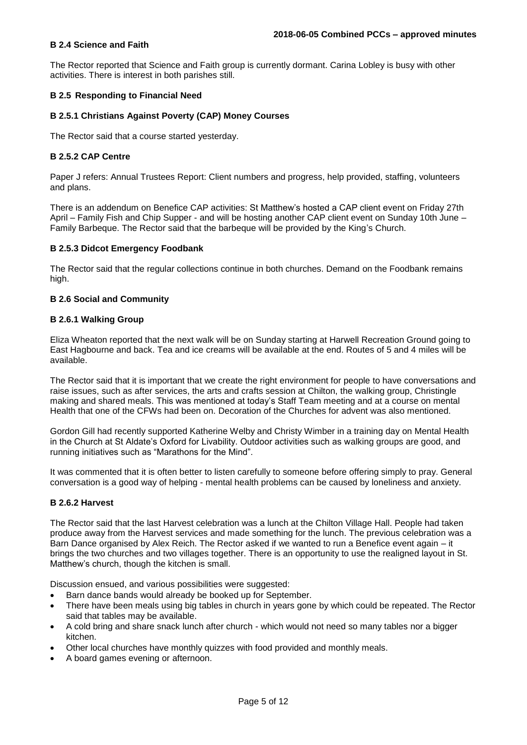### **B 2.4 Science and Faith**

The Rector reported that Science and Faith group is currently dormant. Carina Lobley is busy with other activities. There is interest in both parishes still.

### **B 2.5 Responding to Financial Need**

### **B 2.5.1 Christians Against Poverty (CAP) Money Courses**

The Rector said that a course started yesterday.

### **B 2.5.2 CAP Centre**

Paper J refers: Annual Trustees Report: Client numbers and progress, help provided, staffing, volunteers and plans.

There is an addendum on Benefice CAP activities: St Matthew's hosted a CAP client event on Friday 27th April – Family Fish and Chip Supper - and will be hosting another CAP client event on Sunday 10th June – Family Barbeque. The Rector said that the barbeque will be provided by the King's Church.

### **B 2.5.3 Didcot Emergency Foodbank**

The Rector said that the regular collections continue in both churches. Demand on the Foodbank remains high.

### **B 2.6 Social and Community**

### **B 2.6.1 Walking Group**

Eliza Wheaton reported that the next walk will be on Sunday starting at Harwell Recreation Ground going to East Hagbourne and back. Tea and ice creams will be available at the end. Routes of 5 and 4 miles will be available.

The Rector said that it is important that we create the right environment for people to have conversations and raise issues, such as after services, the arts and crafts session at Chilton, the walking group, Christingle making and shared meals. This was mentioned at today's Staff Team meeting and at a course on mental Health that one of the CFWs had been on. Decoration of the Churches for advent was also mentioned.

Gordon Gill had recently supported Katherine Welby and Christy Wimber in a training day on Mental Health in the Church at St Aldate's Oxford for Livability. Outdoor activities such as walking groups are good, and running initiatives such as "Marathons for the Mind".

It was commented that it is often better to listen carefully to someone before offering simply to pray. General conversation is a good way of helping - mental health problems can be caused by loneliness and anxiety.

### **B 2.6.2 Harvest**

The Rector said that the last Harvest celebration was a lunch at the Chilton Village Hall. People had taken produce away from the Harvest services and made something for the lunch. The previous celebration was a Barn Dance organised by Alex Reich. The Rector asked if we wanted to run a Benefice event again – it brings the two churches and two villages together. There is an opportunity to use the realigned layout in St. Matthew's church, though the kitchen is small.

Discussion ensued, and various possibilities were suggested:

- Barn dance bands would already be booked up for September.
- There have been meals using big tables in church in years gone by which could be repeated. The Rector said that tables may be available.
- A cold bring and share snack lunch after church which would not need so many tables nor a bigger kitchen.
- Other local churches have monthly quizzes with food provided and monthly meals.
- A board games evening or afternoon.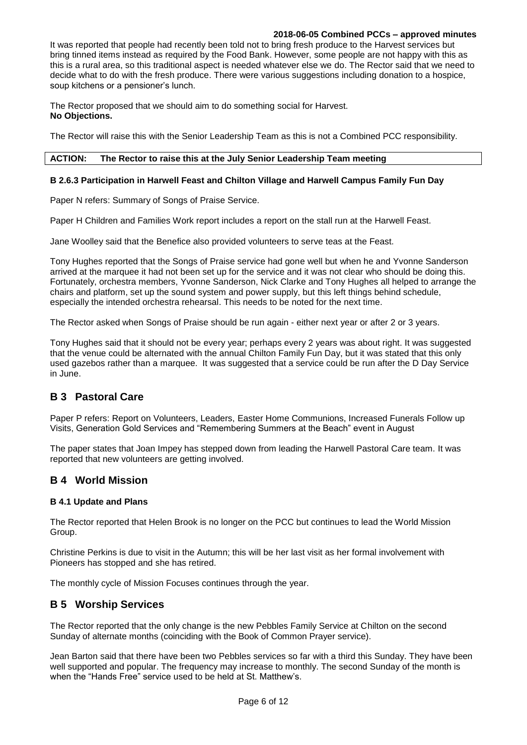It was reported that people had recently been told not to bring fresh produce to the Harvest services but bring tinned items instead as required by the Food Bank. However, some people are not happy with this as this is a rural area, so this traditional aspect is needed whatever else we do. The Rector said that we need to decide what to do with the fresh produce. There were various suggestions including donation to a hospice, soup kitchens or a pensioner's lunch.

The Rector proposed that we should aim to do something social for Harvest. **No Objections.**

The Rector will raise this with the Senior Leadership Team as this is not a Combined PCC responsibility.

### **ACTION: The Rector to raise this at the July Senior Leadership Team meeting**

### **B 2.6.3 Participation in Harwell Feast and Chilton Village and Harwell Campus Family Fun Day**

Paper N refers: Summary of Songs of Praise Service.

Paper H Children and Families Work report includes a report on the stall run at the Harwell Feast.

Jane Woolley said that the Benefice also provided volunteers to serve teas at the Feast.

Tony Hughes reported that the Songs of Praise service had gone well but when he and Yvonne Sanderson arrived at the marquee it had not been set up for the service and it was not clear who should be doing this. Fortunately, orchestra members, Yvonne Sanderson, Nick Clarke and Tony Hughes all helped to arrange the chairs and platform, set up the sound system and power supply, but this left things behind schedule, especially the intended orchestra rehearsal. This needs to be noted for the next time.

The Rector asked when Songs of Praise should be run again - either next year or after 2 or 3 years.

Tony Hughes said that it should not be every year; perhaps every 2 years was about right. It was suggested that the venue could be alternated with the annual Chilton Family Fun Day, but it was stated that this only used gazebos rather than a marquee. It was suggested that a service could be run after the D Day Service in June.

## **B 3 Pastoral Care**

Paper P refers: Report on Volunteers, Leaders, Easter Home Communions, Increased Funerals Follow up Visits, Generation Gold Services and "Remembering Summers at the Beach" event in August

The paper states that Joan Impey has stepped down from leading the Harwell Pastoral Care team. It was reported that new volunteers are getting involved.

### **B 4 World Mission**

### **B 4.1 Update and Plans**

The Rector reported that Helen Brook is no longer on the PCC but continues to lead the World Mission Group.

Christine Perkins is due to visit in the Autumn; this will be her last visit as her formal involvement with Pioneers has stopped and she has retired.

The monthly cycle of Mission Focuses continues through the year.

### **B 5 Worship Services**

The Rector reported that the only change is the new Pebbles Family Service at Chilton on the second Sunday of alternate months (coinciding with the Book of Common Prayer service).

Jean Barton said that there have been two Pebbles services so far with a third this Sunday. They have been well supported and popular. The frequency may increase to monthly. The second Sunday of the month is when the "Hands Free" service used to be held at St. Matthew's.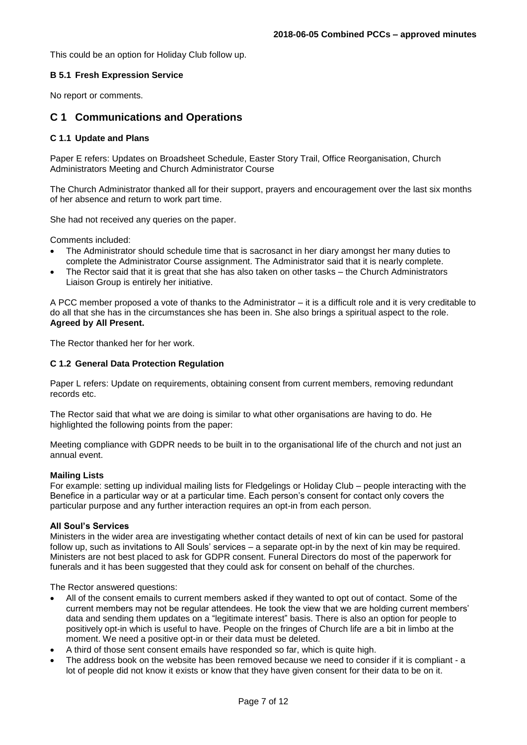This could be an option for Holiday Club follow up.

### **B 5.1 Fresh Expression Service**

No report or comments.

## **C 1 Communications and Operations**

### **C 1.1 Update and Plans**

Paper E refers: Updates on Broadsheet Schedule, Easter Story Trail, Office Reorganisation, Church Administrators Meeting and Church Administrator Course

The Church Administrator thanked all for their support, prayers and encouragement over the last six months of her absence and return to work part time.

She had not received any queries on the paper.

Comments included:

- The Administrator should schedule time that is sacrosanct in her diary amongst her many duties to complete the Administrator Course assignment. The Administrator said that it is nearly complete.
- The Rector said that it is great that she has also taken on other tasks the Church Administrators Liaison Group is entirely her initiative.

A PCC member proposed a vote of thanks to the Administrator – it is a difficult role and it is very creditable to do all that she has in the circumstances she has been in. She also brings a spiritual aspect to the role. **Agreed by All Present.** 

The Rector thanked her for her work.

### **C 1.2 General Data Protection Regulation**

Paper L refers: Update on requirements, obtaining consent from current members, removing redundant records etc.

The Rector said that what we are doing is similar to what other organisations are having to do. He highlighted the following points from the paper:

Meeting compliance with GDPR needs to be built in to the organisational life of the church and not just an annual event.

### **Mailing Lists**

For example: setting up individual mailing lists for Fledgelings or Holiday Club – people interacting with the Benefice in a particular way or at a particular time. Each person's consent for contact only covers the particular purpose and any further interaction requires an opt-in from each person.

### **All Soul's Services**

Ministers in the wider area are investigating whether contact details of next of kin can be used for pastoral follow up, such as invitations to All Souls' services – a separate opt-in by the next of kin may be required. Ministers are not best placed to ask for GDPR consent. Funeral Directors do most of the paperwork for funerals and it has been suggested that they could ask for consent on behalf of the churches.

The Rector answered questions:

- All of the consent emails to current members asked if they wanted to opt out of contact. Some of the current members may not be regular attendees. He took the view that we are holding current members' data and sending them updates on a "legitimate interest" basis. There is also an option for people to positively opt-in which is useful to have. People on the fringes of Church life are a bit in limbo at the moment. We need a positive opt-in or their data must be deleted.
- A third of those sent consent emails have responded so far, which is quite high.
- The address book on the website has been removed because we need to consider if it is compliant a lot of people did not know it exists or know that they have given consent for their data to be on it.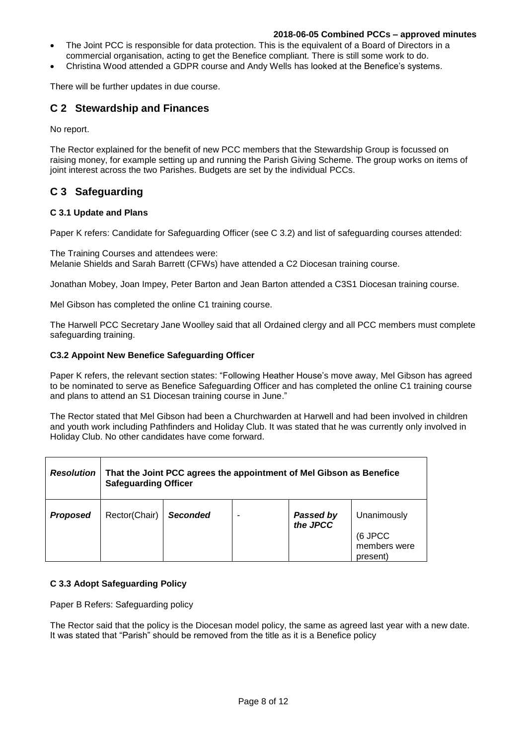- The Joint PCC is responsible for data protection. This is the equivalent of a Board of Directors in a commercial organisation, acting to get the Benefice compliant. There is still some work to do.
- Christina Wood attended a GDPR course and Andy Wells has looked at the Benefice's systems.

There will be further updates in due course.

## **C 2 Stewardship and Finances**

No report.

The Rector explained for the benefit of new PCC members that the Stewardship Group is focussed on raising money, for example setting up and running the Parish Giving Scheme. The group works on items of joint interest across the two Parishes. Budgets are set by the individual PCCs.

## **C 3 Safeguarding**

### **C 3.1 Update and Plans**

Paper K refers: Candidate for Safeguarding Officer (see C 3.2) and list of safeguarding courses attended:

The Training Courses and attendees were: Melanie Shields and Sarah Barrett (CFWs) have attended a C2 Diocesan training course.

Jonathan Mobey, Joan Impey, Peter Barton and Jean Barton attended a C3S1 Diocesan training course.

Mel Gibson has completed the online C1 training course.

The Harwell PCC Secretary Jane Woolley said that all Ordained clergy and all PCC members must complete safeguarding training.

### **C3.2 Appoint New Benefice Safeguarding Officer**

Paper K refers, the relevant section states: "Following Heather House's move away, Mel Gibson has agreed to be nominated to serve as Benefice Safeguarding Officer and has completed the online C1 training course and plans to attend an S1 Diocesan training course in June."

The Rector stated that Mel Gibson had been a Churchwarden at Harwell and had been involved in children and youth work including Pathfinders and Holiday Club. It was stated that he was currently only involved in Holiday Club. No other candidates have come forward.

| <b>Resolution</b> | That the Joint PCC agrees the appointment of Mel Gibson as Benefice<br><b>Safeguarding Officer</b> |                 |  |                       |                                                    |
|-------------------|----------------------------------------------------------------------------------------------------|-----------------|--|-----------------------|----------------------------------------------------|
| <b>Proposed</b>   | Rector(Chair)                                                                                      | <b>Seconded</b> |  | Passed by<br>the JPCC | Unanimously<br>(6 JPCC<br>members were<br>present) |

### **C 3.3 Adopt Safeguarding Policy**

Paper B Refers: Safeguarding policy

The Rector said that the policy is the Diocesan model policy, the same as agreed last year with a new date. It was stated that "Parish" should be removed from the title as it is a Benefice policy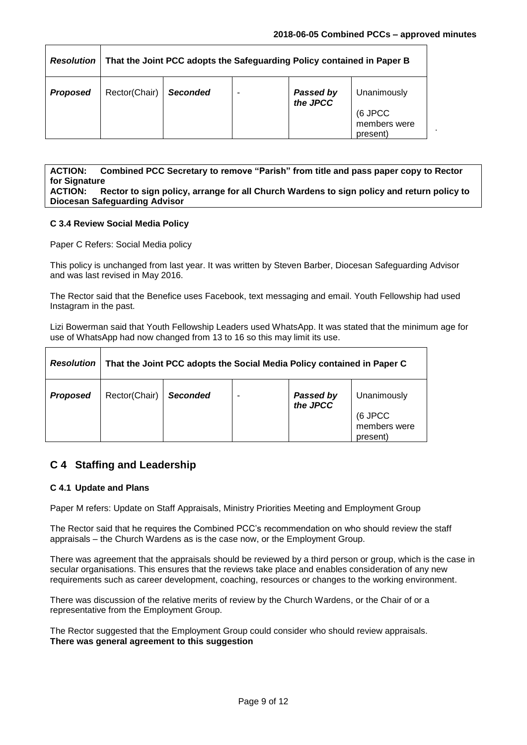.

| <b>Resolution</b> | That the Joint PCC adopts the Safeguarding Policy contained in Paper B |                 |  |                               |                                                    |
|-------------------|------------------------------------------------------------------------|-----------------|--|-------------------------------|----------------------------------------------------|
| <b>Proposed</b>   | Rector(Chair)                                                          | <b>Seconded</b> |  | <b>Passed by<br/>the JPCC</b> | Unanimously<br>(6 JPCC<br>members were<br>present) |

**ACTION: Combined PCC Secretary to remove "Parish" from title and pass paper copy to Rector for Signature ACTION: Rector to sign policy, arrange for all Church Wardens to sign policy and return policy to Diocesan Safeguarding Advisor**

### **C 3.4 Review Social Media Policy**

Paper C Refers: Social Media policy

This policy is unchanged from last year. It was written by Steven Barber, Diocesan Safeguarding Advisor and was last revised in May 2016.

The Rector said that the Benefice uses Facebook, text messaging and email. Youth Fellowship had used Instagram in the past.

Lizi Bowerman said that Youth Fellowship Leaders used WhatsApp. It was stated that the minimum age for use of WhatsApp had now changed from 13 to 16 so this may limit its use.

| <b>Resolution</b> | That the Joint PCC adopts the Social Media Policy contained in Paper C |                 |  |                              |                                                    |
|-------------------|------------------------------------------------------------------------|-----------------|--|------------------------------|----------------------------------------------------|
| <b>Proposed</b>   | Rector(Chair)                                                          | <b>Seconded</b> |  | <b>Passed by</b><br>the JPCC | Unanimously<br>(6 JPCC<br>members were<br>present) |

## **C 4 Staffing and Leadership**

### **C 4.1 Update and Plans**

Paper M refers: Update on Staff Appraisals, Ministry Priorities Meeting and Employment Group

The Rector said that he requires the Combined PCC's recommendation on who should review the staff appraisals – the Church Wardens as is the case now, or the Employment Group.

There was agreement that the appraisals should be reviewed by a third person or group, which is the case in secular organisations. This ensures that the reviews take place and enables consideration of any new requirements such as career development, coaching, resources or changes to the working environment.

There was discussion of the relative merits of review by the Church Wardens, or the Chair of or a representative from the Employment Group.

The Rector suggested that the Employment Group could consider who should review appraisals. **There was general agreement to this suggestion**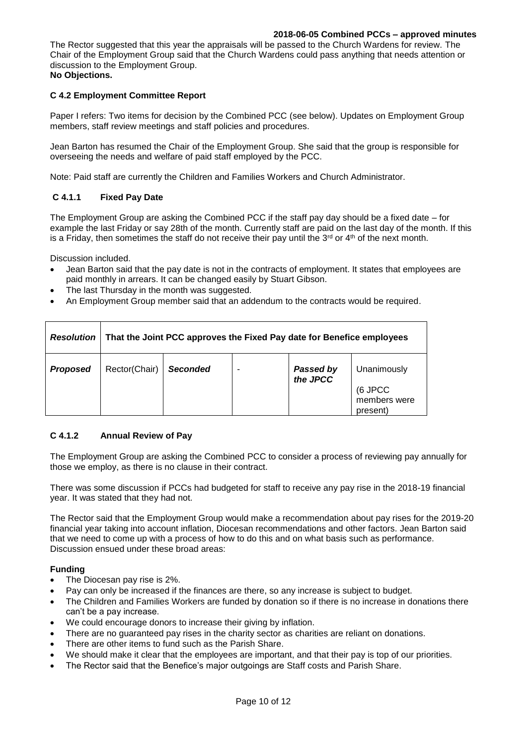The Rector suggested that this year the appraisals will be passed to the Church Wardens for review. The Chair of the Employment Group said that the Church Wardens could pass anything that needs attention or discussion to the Employment Group.

## **No Objections.**

### **C 4.2 Employment Committee Report**

Paper I refers: Two items for decision by the Combined PCC (see below). Updates on Employment Group members, staff review meetings and staff policies and procedures.

Jean Barton has resumed the Chair of the Employment Group. She said that the group is responsible for overseeing the needs and welfare of paid staff employed by the PCC.

Note: Paid staff are currently the Children and Families Workers and Church Administrator.

### **C 4.1.1 Fixed Pay Date**

The Employment Group are asking the Combined PCC if the staff pay day should be a fixed date – for example the last Friday or say 28th of the month. Currently staff are paid on the last day of the month. If this is a Friday, then sometimes the staff do not receive their pay until the  $3^{rd}$  or  $4^{th}$  of the next month.

Discussion included.

- Jean Barton said that the pay date is not in the contracts of employment. It states that employees are paid monthly in arrears. It can be changed easily by Stuart Gibson.
- The last Thursday in the month was suggested.
- An Employment Group member said that an addendum to the contracts would be required.

| <b>Resolution</b> | That the Joint PCC approves the Fixed Pay date for Benefice employees |                 |  |                              |                                        |
|-------------------|-----------------------------------------------------------------------|-----------------|--|------------------------------|----------------------------------------|
| <b>Proposed</b>   | Rector(Chair)                                                         | <b>Seconded</b> |  | <b>Passed by</b><br>the JPCC | Unanimously<br>(6 JPCC<br>members were |
|                   |                                                                       |                 |  |                              | present)                               |

### **C 4.1.2 Annual Review of Pay**

The Employment Group are asking the Combined PCC to consider a process of reviewing pay annually for those we employ, as there is no clause in their contract.

There was some discussion if PCCs had budgeted for staff to receive any pay rise in the 2018-19 financial year. It was stated that they had not.

The Rector said that the Employment Group would make a recommendation about pay rises for the 2019-20 financial year taking into account inflation, Diocesan recommendations and other factors. Jean Barton said that we need to come up with a process of how to do this and on what basis such as performance. Discussion ensued under these broad areas:

### **Funding**

- The Diocesan pay rise is 2%.
- Pay can only be increased if the finances are there, so any increase is subject to budget.
- The Children and Families Workers are funded by donation so if there is no increase in donations there can't be a pay increase.
- We could encourage donors to increase their giving by inflation.
- There are no guaranteed pay rises in the charity sector as charities are reliant on donations.
- There are other items to fund such as the Parish Share.
- We should make it clear that the employees are important, and that their pay is top of our priorities.
- The Rector said that the Benefice's major outgoings are Staff costs and Parish Share.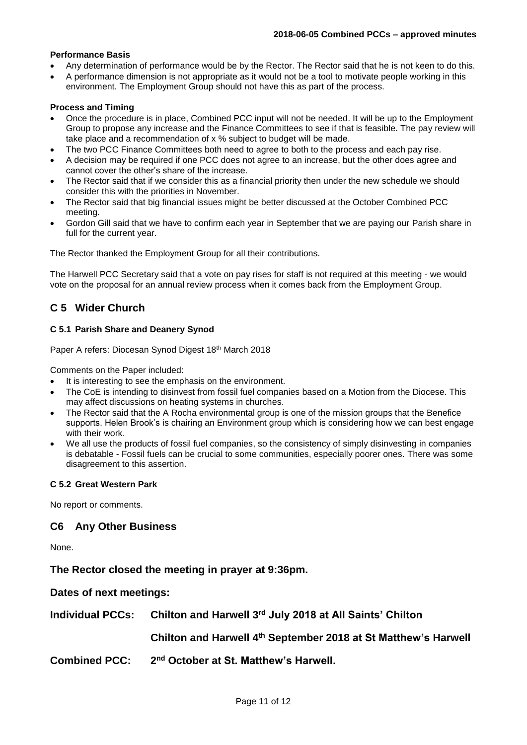### **Performance Basis**

- Any determination of performance would be by the Rector. The Rector said that he is not keen to do this.
- A performance dimension is not appropriate as it would not be a tool to motivate people working in this environment. The Employment Group should not have this as part of the process.

### **Process and Timing**

- Once the procedure is in place, Combined PCC input will not be needed. It will be up to the Employment Group to propose any increase and the Finance Committees to see if that is feasible. The pay review will take place and a recommendation of x % subject to budget will be made.
- The two PCC Finance Committees both need to agree to both to the process and each pay rise.
- A decision may be required if one PCC does not agree to an increase, but the other does agree and cannot cover the other's share of the increase.
- The Rector said that if we consider this as a financial priority then under the new schedule we should consider this with the priorities in November.
- The Rector said that big financial issues might be better discussed at the October Combined PCC meeting.
- Gordon Gill said that we have to confirm each year in September that we are paying our Parish share in full for the current year.

The Rector thanked the Employment Group for all their contributions.

The Harwell PCC Secretary said that a vote on pay rises for staff is not required at this meeting - we would vote on the proposal for an annual review process when it comes back from the Employment Group.

## **C 5 Wider Church**

### **C 5.1 Parish Share and Deanery Synod**

Paper A refers: Diocesan Synod Digest 18th March 2018

Comments on the Paper included:

- It is interesting to see the emphasis on the environment.
- The CoE is intending to disinvest from fossil fuel companies based on a Motion from the Diocese. This may affect discussions on heating systems in churches.
- The Rector said that the A Rocha environmental group is one of the mission groups that the Benefice supports. Helen Brook's is chairing an Environment group which is considering how we can best engage with their work.
- We all use the products of fossil fuel companies, so the consistency of simply disinvesting in companies is debatable - Fossil fuels can be crucial to some communities, especially poorer ones. There was some disagreement to this assertion.

### **C 5.2 Great Western Park**

No report or comments.

### **C6 Any Other Business**

None.

**The Rector closed the meeting in prayer at 9:36pm.**

**Dates of next meetings:**

**Individual PCCs: Chilton and Harwell 3rd July 2018 at All Saints' Chilton**

**Chilton and Harwell 4 th September 2018 at St Matthew's Harwell**

**Combined PCC: 2 nd October at St. Matthew's Harwell.**